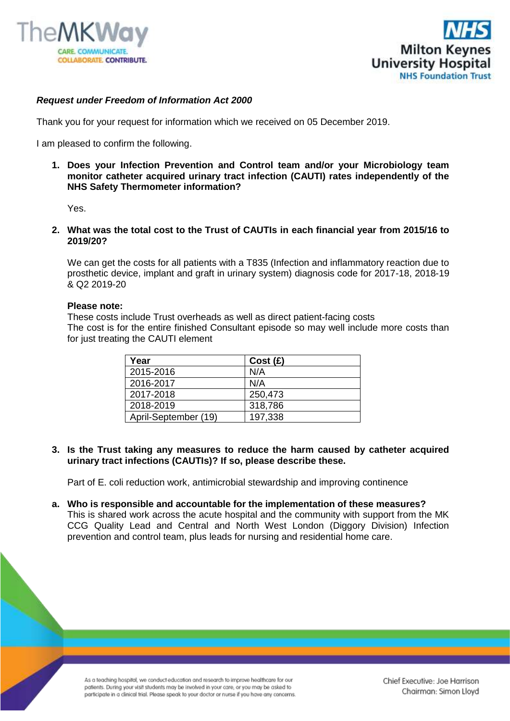



## *Request under Freedom of Information Act 2000*

Thank you for your request for information which we received on 05 December 2019.

I am pleased to confirm the following.

**1. Does your Infection Prevention and Control team and/or your Microbiology team monitor catheter acquired urinary tract infection (CAUTI) rates independently of the NHS Safety Thermometer information?** 

Yes.

**2. What was the total cost to the Trust of CAUTIs in each financial year from 2015/16 to 2019/20?**

We can get the costs for all patients with a T835 (Infection and inflammatory reaction due to prosthetic device, implant and graft in urinary system) diagnosis code for 2017-18, 2018-19 & Q2 2019-20

## **Please note:**

These costs include Trust overheads as well as direct patient-facing costs The cost is for the entire finished Consultant episode so may well include more costs than for just treating the CAUTI element

| Year                 | Cost(E) |
|----------------------|---------|
| 2015-2016            | N/A     |
| 2016-2017            | N/A     |
| 2017-2018            | 250,473 |
| 2018-2019            | 318,786 |
| April-September (19) | 197,338 |

**3. Is the Trust taking any measures to reduce the harm caused by catheter acquired urinary tract infections (CAUTIs)? If so, please describe these.** 

Part of E. coli reduction work, antimicrobial stewardship and improving continence

**a. Who is responsible and accountable for the implementation of these measures?**  This is shared work across the acute hospital and the community with support from the MK CCG Quality Lead and Central and North West London (Diggory Division) Infection prevention and control team, plus leads for nursing and residential home care.

As a teaching hospital, we conduct education and research to improve healthcare for our patients. During your visit students may be involved in your care, or you may be asked to participate in a clinical trial. Please speak to your doctor or nurse if you have any concerns.